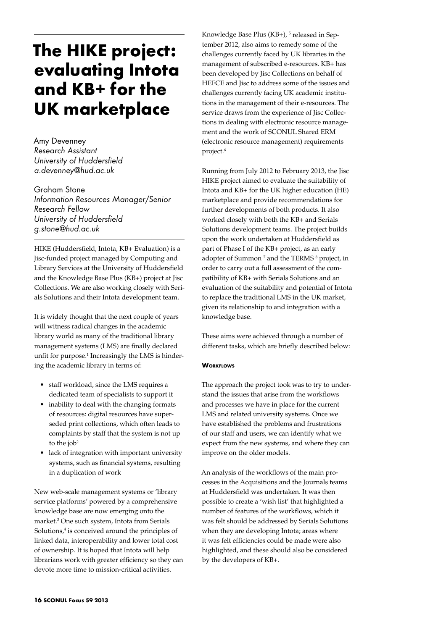# **The HIKE project: evaluating Intota and KB+ for the UK marketplace**

Amy Devenney *Research Assistant University of Huddersfield a.devenney@hud.ac.uk*

Graham Stone *Information Resources Manager/Senior Research Fellow University of Huddersfield g.stone@hud.ac.uk*

HIKE (Huddersfield, Intota, KB+ Evaluation) is a Jisc-funded project managed by Computing and Library Services at the University of Huddersfield and the Knowledge Base Plus (KB+) project at Jisc Collections. We are also working closely with Serials Solutions and their Intota development team.

It is widely thought that the next couple of years will witness radical changes in the academic library world as many of the traditional library management systems (LMS) are finally declared unfit for purpose.<sup>1</sup> Increasingly the LMS is hindering the academic library in terms of:

- staff workload, since the LMS requires a dedicated team of specialists to support it
- inability to deal with the changing formats of resources: digital resources have superseded print collections, which often leads to complaints by staff that the system is not up to the job<sup>2</sup>
- lack of integration with important university systems, such as financial systems, resulting in a duplication of work

New web-scale management systems or 'library service platforms' powered by a comprehensive knowledge base are now emerging onto the market.3 One such system, Intota from Serials Solutions,<sup>4</sup> is conceived around the principles of linked data, interoperability and lower total cost of ownership. It is hoped that Intota will help librarians work with greater efficiency so they can devote more time to mission-critical activities.

Knowledge Base Plus (KB+), <sup>5</sup> released in September 2012, also aims to remedy some of the challenges currently faced by UK libraries in the management of subscribed e-resources. KB+ has been developed by Jisc Collections on behalf of HEFCE and Jisc to address some of the issues and challenges currently facing UK academic institutions in the management of their e-resources. The service draws from the experience of Jisc Collections in dealing with electronic resource management and the work of SCONUL Shared ERM (electronic resource management) requirements project.<sup>6</sup>

Running from July 2012 to February 2013, the Jisc HIKE project aimed to evaluate the suitability of Intota and KB+ for the UK higher education (HE) marketplace and provide recommendations for further developments of both products. It also worked closely with both the KB+ and Serials Solutions development teams. The project builds upon the work undertaken at Huddersfield as part of Phase I of the KB+ project, as an early adopter of Summon<sup>7</sup> and the TERMS<sup>8</sup> project, in order to carry out a full assessment of the compatibility of KB+ with Serials Solutions and an evaluation of the suitability and potential of Intota to replace the traditional LMS in the UK market, given its relationship to and integration with a knowledge base.

These aims were achieved through a number of different tasks, which are briefly described below:

# **WORKFLOWS**

The approach the project took was to try to understand the issues that arise from the workflows and processes we have in place for the current LMS and related university systems. Once we have established the problems and frustrations of our staff and users, we can identify what we expect from the new systems, and where they can improve on the older models.

An analysis of the workflows of the main processes in the Acquisitions and the Journals teams at Huddersfield was undertaken. It was then possible to create a 'wish list' that highlighted a number of features of the workflows, which it was felt should be addressed by Serials Solutions when they are developing Intota; areas where it was felt efficiencies could be made were also highlighted, and these should also be considered by the developers of KB+.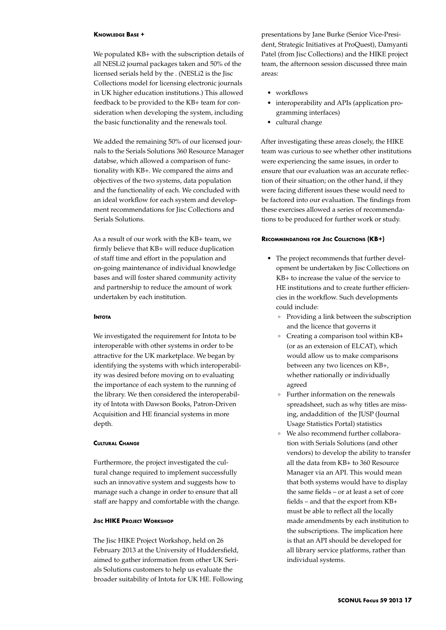#### **Knowledge Base +**

We populated KB+ with the subscription details of all NESLi2 journal packages taken and 50% of the licensed serials held by the . (NESLi2 is the Jisc Collections model for licensing electronic journals in UK higher education institutions.) This allowed feedback to be provided to the KB+ team for consideration when developing the system, including the basic functionality and the renewals tool.

We added the remaining 50% of our licensed journals to the Serials Solutions 360 Resource Manager databse, which allowed a comparison of functionality with KB+. We compared the aims and objectives of the two systems, data population and the functionality of each. We concluded with an ideal workflow for each system and development recommendations for Jisc Collections and Serials Solutions.

As a result of our work with the KB+ team, we firmly believe that KB+ will reduce duplication of staff time and effort in the population and on-going maintenance of individual knowledge bases and will foster shared community activity and partnership to reduce the amount of work undertaken by each institution.

## **Intota**

We investigated the requirement for Intota to be interoperable with other systems in order to be attractive for the UK marketplace. We began by identifying the systems with which interoperability was desired before moving on to evaluating the importance of each system to the running of the library. We then considered the interoperability of Intota with Dawson Books, Patron-Driven Acquisition and HE financial systems in more depth.

#### **Cultural Change**

Furthermore, the project investigated the cultural change required to implement successfully such an innovative system and suggests how to manage such a change in order to ensure that all staff are happy and comfortable with the change.

## **Jisc HIKE Project Workshop**

The Jisc HIKE Project Workshop, held on 26 February 2013 at the University of Huddersfield, aimed to gather information from other UK Serials Solutions customers to help us evaluate the broader suitability of Intota for UK HE. Following

presentations by Jane Burke (Senior Vice-President, Strategic Initiatives at ProQuest), Damyanti Patel (from Jisc Collections) and the HIKE project team, the afternoon session discussed three main areas:

- workflows
- interoperability and APIs (application programming interfaces)
- • cultural change

After investigating these areas closely, the HIKE team was curious to see whether other institutions were experiencing the same issues, in order to ensure that our evaluation was an accurate reflection of their situation; on the other hand, if they were facing different issues these would need to be factored into our evaluation. The findings from these exercises allowed a series of recommendations to be produced for further work or study.

#### **Recommendations for Jisc Collections (KB+)**

- The project recommends that further development be undertaken by Jisc Collections on KB+ to increase the value of the service to HE institutions and to create further efficiencies in the workflow. Such developments could include:
	- ° Providing a link between the subscription and the licence that governs it
	- ° Creating a comparison tool within KB+ (or as an extension of ELCAT), which would allow us to make comparisons between any two licences on KB+, whether nationally or individually agreed
	- ° Further information on the renewals spreadsheet, such as why titles are missing, andaddition of the JUSP (Journal Usage Statistics Portal) statistics
	- ° We also recommend further collaboration with Serials Solutions (and other vendors) to develop the ability to transfer all the data from KB+ to 360 Resource Manager via an API. This would mean that both systems would have to display the same fields – or at least a set of core fields – and that the export from KB+ must be able to reflect all the locally made amendments by each institution to the subscriptions. The implication here is that an API should be developed for all library service platforms, rather than individual systems.